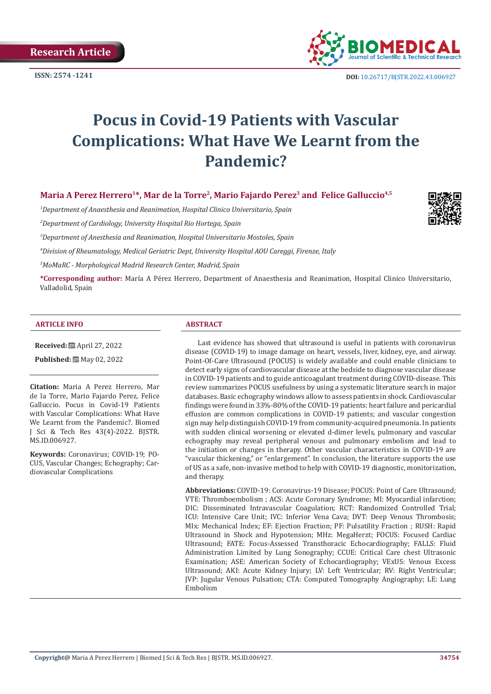**Research Article**



**ISSN:** 2574 -1241 **DOI:** [10.26717/BJSTR.2022.43.006927](https://dx.doi.org/10.26717/BJSTR.2022.43.006927)

# **Pocus in Covid-19 Patients with Vascular Complications: What Have We Learnt from the Pandemic?**

# Maria A Perez Herrero<sup>1\*</sup>, Mar de la Torre<sup>2</sup>, Mario Fajardo Perez<sup>3</sup> and Felice Galluccio<sup>4,5</sup>

*1 Department of Anaesthesia and Reanimation, Hospital Clinico Universitario, Spain*

*2 Department of Cardiology, University Hospital Rio Hortega, Spain*

*3 Department of Anesthesia and Reanimation, Hospital Universitario Mostoles, Spain*

*4 Division of Rheumatology, Medical Geriatric Dept, University Hospital AOU Careggi, Firenze, Italy*

*5 MoMaRC - Morphological Madrid Research Center, Madrid, Spain*

**\*Corresponding author:** María A Pérez Herrero, Department of Anaesthesia and Reanimation, Hospital Clinico Universitario, Valladolid, Spain

#### **ARTICLE INFO ABSTRACT**

**Received:** April 27, 2022

**Published:** ■ May 02, 2022

**Citation:** Maria A Perez Herrero, Mar de la Torre, Mario Fajardo Perez, Felice Galluccio. Pocus in Covid-19 Patients with Vascular Complications: What Have We Learnt from the Pandemic?. Biomed J Sci & Tech Res 43(4)-2022. BJSTR. MS.ID.006927.

**Keywords:** Coronavirus; COVID-19; PO-CUS, Vascular Changes; Echography; Cardiovascular Complications

Last evidence has showed that ultrasound is useful in patients with coronavirus disease (COVID-19) to image damage on heart, vessels, liver, kidney, eye, and airway. Point-Of-Care Ultrasound (POCUS) is widely available and could enable clinicians to detect early signs of cardiovascular disease at the bedside to diagnose vascular disease in COVID-19 patients and to guide anticoagulant treatment during COVID-disease. This review summarizes POCUS usefulness by using a systematic literature search in major databases. Basic echography windows allow to assess patients in shock. Cardiovascular findings were found in 33%-80% of the COVID-19 patients: heart failure and pericardial effusion are common complications in COVID-19 patients; and vascular congestion sign may help distinguish COVID-19 from community-acquired pneumonia. In patients with sudden clinical worsening or elevated d-dimer levels, pulmonary and vascular echography may reveal peripheral venous and pulmonary embolism and lead to the initiation or changes in therapy. Other vascular characteristics in COVID-19 are "vascular thickening," or "enlargement". In conclusion, the literature supports the use of US as a safe, non-invasive method to help with COVID-19 diagnostic, monitorization, and therapy.

**Abbreviations:** COVID-19: Coronavirus-19 Disease; POCUS: Point of Care Ultrasound; VTE: Thromboembolism ; ACS: Acute Coronary Syndrome; MI: Myocardial infarction; DIC: Disseminated Intravascular Coagulation; RCT: Randomized Controlled Trial; ICU: Intensive Care Unit; IVC: Inferior Vena Cava; DVT: Deep Venous Thrombosis; MIx: Mechanical Index; EF: Ejection Fraction; PF: Pulsatility Fraction ; RUSH: Rapid Ultrasound in Shock and Hypotension; MHz: MegaHerzt; FOCUS: Focused Cardiac Ultrasound; FATE: Focus-Assessed Transthoracic Echocardiography; FALLS: Fluid Administration Limited by Lung Sonography; CCUE: Critical Care chest Ultrasonic Examination; ASE: American Society of Echocardiography; VExUS: Venous Excess Ultrasound; AKI: Acute Kidney Injury; LV: Left Ventricular; RV: Right Ventricular; JVP: Jugular Venous Pulsation; CTA: Computed Tomography Angiography; LE: Lung Embolism

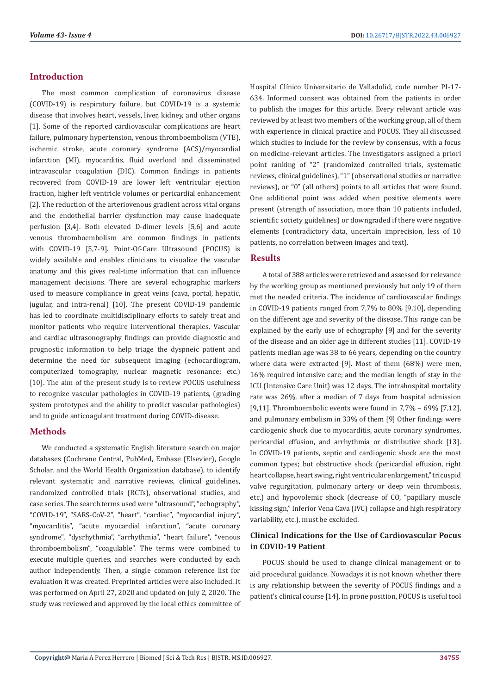# **Introduction**

The most common complication of coronavirus disease (COVID-19) is respiratory failure, but COVID-19 is a systemic disease that involves heart, vessels, liver, kidney, and other organs [1]. Some of the reported cardiovascular complications are heart failure, pulmonary hypertension, venous thromboembolism (VTE), ischemic stroke, acute coronary syndrome (ACS)/myocardial infarction (MI), myocarditis, fluid overload and disseminated intravascular coagulation (DIC). Common findings in patients recovered from COVID-19 are lower left ventricular ejection fraction, higher left ventricle volumes or pericardial enhancement [2]. The reduction of the arteriovenous gradient across vital organs and the endothelial barrier dysfunction may cause inadequate perfusion [3,4]. Both elevated D-dimer levels [5,6] and acute venous thromboembolism are common findings in patients with COVID-19 [5,7-9]. Point-Of-Care Ultrasound (POCUS) is widely available and enables clinicians to visualize the vascular anatomy and this gives real-time information that can influence management decisions. There are several echographic markers used to measure compliance in great veins (cava, portal, hepatic, jugular, and intra-renal) [10]. The present COVID-19 pandemic has led to coordinate multidisciplinary efforts to safely treat and monitor patients who require interventional therapies. Vascular and cardiac ultrasonography findings can provide diagnostic and prognostic information to help triage the dyspneic patient and determine the need for subsequent imaging (echocardiogram, computerized tomography, nuclear magnetic resonance; etc.) [10]. The aim of the present study is to review POCUS usefulness to recognize vascular pathologies in COVID-19 patients, (grading system prototypes and the ability to predict vascular pathologies) and to guide anticoagulant treatment during COVID-disease.

# **Methods**

We conducted a systematic English literature search on major databases (Cochrane Central, PubMed, Embase (Elsevier), Google Scholar, and the World Health Organization database), to identify relevant systematic and narrative reviews, clinical guidelines, randomized controlled trials (RCTs), observational studies, and case series. The search terms used were "ultrasound", "echography", "COVID-19", "SARS-CoV-2", "heart", "cardiac", "myocardial injury", "myocarditis", "acute myocardial infarction", "acute coronary syndrome", "dysrhythmia", "arrhythmia", "heart failure", "venous thromboembolism", "coagulable". The terms were combined to execute multiple queries, and searches were conducted by each author independently. Then, a single common reference list for evaluation it was created. Preprinted articles were also included. It was performed on April 27, 2020 and updated on July 2, 2020. The study was reviewed and approved by the local ethics committee of Hospital Clínico Universitario de Valladolid, code number PI-17- 634. Informed consent was obtained from the patients in order to publish the images for this article. Every relevant article was reviewed by at least two members of the working group, all of them with experience in clinical practice and POCUS. They all discussed which studies to include for the review by consensus, with a focus on medicine-relevant articles. The investigators assigned a priori point ranking of "2" (randomized controlled trials, systematic reviews, clinical guidelines), "1" (observational studies or narrative reviews), or "0" (all others) points to all articles that were found. One additional point was added when positive elements were present (strength of association, more than 10 patients included, scientific society guidelines) or downgraded if there were negative elements (contradictory data, uncertain imprecision, less of 10 patients, no correlation between images and text).

#### **Results**

A total of 388 articles were retrieved and assessed for relevance by the working group as mentioned previously but only 19 of them met the needed criteria. The incidence of cardiovascular findings in COVID-19 patients ranged from 7,7% to 80% [9,10], depending on the different age and severity of the disease. This range can be explained by the early use of echography [9] and for the severity of the disease and an older age in different studies [11]. COVID-19 patients median age was 38 to 66 years, depending on the country where data were extracted [9]. Most of them (68%) were men, 16% required intensive care; and the median length of stay in the ICU (Intensive Care Unit) was 12 days. The intrahospital mortality rate was 26%, after a median of 7 days from hospital admission [9,11]. Thromboembolic events were found in 7,7% – 69% [7,12], and pulmonary embolism in 33% of them [9] Other findings were cardiogenic shock due to myocarditis, acute coronary syndromes, pericardial effusion, and arrhythmia or distributive shock [13]. In COVID-19 patients, septic and cardiogenic shock are the most common types; but obstructive shock (pericardial effusion, right heart collapse, heart swing, right ventricular enlargement," tricuspid valve regurgitation, pulmonary artery or deep vein thrombosis, etc.) and hypovolemic shock (decrease of CO, "papillary muscle kissing sign," Inferior Vena Cava (IVC) collapse and high respiratory variability, etc.). must be excluded.

# **Clinical Indications for the Use of Cardiovascular Pocus in COVID-19 Patient**

POCUS should be used to change clinical management or to aid procedural guidance. Nowadays it is not known whether there is any relationship between the severity of POCUS findings and a patient's clinical course [14]. In prone position, POCUS is useful tool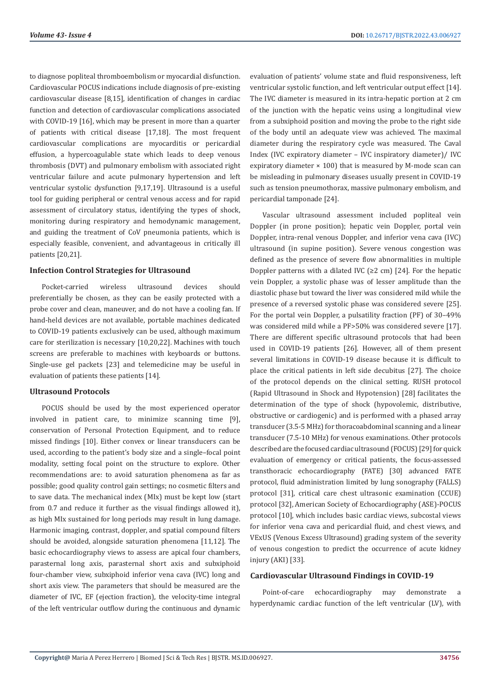to diagnose popliteal thromboembolism or myocardial disfunction. Cardiovascular POCUS indications include diagnosis of pre-existing cardiovascular disease [8,15], identification of changes in cardiac function and detection of cardiovascular complications associated with COVID-19 [16], which may be present in more than a quarter of patients with critical disease [17,18]. The most frequent cardiovascular complications are myocarditis or pericardial effusion, a hypercoagulable state which leads to deep venous thrombosis (DVT) and pulmonary embolism with associated right ventricular failure and acute pulmonary hypertension and left ventricular systolic dysfunction [9,17,19]. Ultrasound is a useful tool for guiding peripheral or central venous access and for rapid assessment of circulatory status, identifying the types of shock, monitoring during respiratory and hemodynamic management, and guiding the treatment of CoV pneumonia patients, which is especially feasible, convenient, and advantageous in critically ill patients [20,21].

#### **Infection Control Strategies for Ultrasound**

Pocket-carried wireless ultrasound devices should preferentially be chosen, as they can be easily protected with a probe cover and clean, maneuver, and do not have a cooling fan. If hand-held devices are not available, portable machines dedicated to COVID-19 patients exclusively can be used, although maximum care for sterilization is necessary [10,20,22]. Machines with touch screens are preferable to machines with keyboards or buttons. Single-use gel packets [23] and telemedicine may be useful in evaluation of patients these patients [14].

## **Ultrasound Protocols**

POCUS should be used by the most experienced operator involved in patient care, to minimize scanning time [9], conservation of Personal Protection Equipment, and to reduce missed findings [10]. Either convex or linear transducers can be used, according to the patient's body size and a single–focal point modality, setting focal point on the structure to explore. Other recommendations are: to avoid saturation phenomena as far as possible; good quality control gain settings; no cosmetic filters and to save data. The mechanical index (MIx) must be kept low (start from 0.7 and reduce it further as the visual findings allowed it), as high MIx sustained for long periods may result in lung damage. Harmonic imaging, contrast, doppler, and spatial compound filters should be avoided, alongside saturation phenomena [11,12]. The basic echocardiography views to assess are apical four chambers, parasternal long axis, parasternal short axis and subxiphoid four-chamber view, subxiphoid inferior vena cava (IVC) long and short axis view. The parameters that should be measured are the diameter of IVC, EF (ejection fraction), the velocity-time integral of the left ventricular outflow during the continuous and dynamic evaluation of patients' volume state and fluid responsiveness, left ventricular systolic function, and left ventricular output effect [14]. The IVC diameter is measured in its intra-hepatic portion at 2 cm of the junction with the hepatic veins using a longitudinal view from a subxiphoid position and moving the probe to the right side of the body until an adequate view was achieved. The maximal diameter during the respiratory cycle was measured. The Caval Index (IVC expiratory diameter – IVC inspiratory diameter)/ IVC expiratory diameter  $\times$  100) that is measured by M-mode scan can be misleading in pulmonary diseases usually present in COVID-19 such as tension pneumothorax, massive pulmonary embolism, and pericardial tamponade [24].

Vascular ultrasound assessment included popliteal vein Doppler (in prone position); hepatic vein Doppler, portal vein Doppler, intra-renal venous Doppler, and inferior vena cava (IVC) ultrasound (in supine position). Severe venous congestion was defined as the presence of severe flow abnormalities in multiple Doppler patterns with a dilated IVC  $(≥2$  cm)  $[24]$ . For the hepatic vein Doppler, a systolic phase was of lesser amplitude than the diastolic phase but toward the liver was considered mild while the presence of a reversed systolic phase was considered severe [25]. For the portal vein Doppler, a pulsatility fraction (PF) of 30–49% was considered mild while a PF>50% was considered severe [17]. There are different specific ultrasound protocols that had been used in COVID-19 patients [26]. However, all of them present several limitations in COVID-19 disease because it is difficult to place the critical patients in left side decubitus [27]. The choice of the protocol depends on the clinical setting. RUSH protocol (Rapid Ultrasound in Shock and Hypotension) [28] facilitates the determination of the type of shock (hypovolemic, distributive, obstructive or cardiogenic) and is performed with a phased array transducer (3.5-5 MHz) for thoracoabdominal scanning and a linear transducer (7.5-10 MHz) for venous examinations. Other protocols described are the focused cardiac ultrasound (FOCUS) [29] for quick evaluation of emergency or critical patients, the focus-assessed transthoracic echocardiography (FATE) [30] advanced FATE protocol, fluid administration limited by lung sonography (FALLS) protocol [31], critical care chest ultrasonic examination (CCUE) protocol [32], American Society of Echocardiography (ASE)-POCUS protocol [10], which includes basic cardiac views, subcostal views for inferior vena cava and pericardial fluid, and chest views, and VExUS (Venous Excess Ultrasound) grading system of the severity of venous congestion to predict the occurrence of acute kidney injury (AKI) [33].

#### **Cardiovascular Ultrasound Findings in COVID-19**

Point-of-care echocardiography may demonstrate a hyperdynamic cardiac function of the left ventricular (LV), with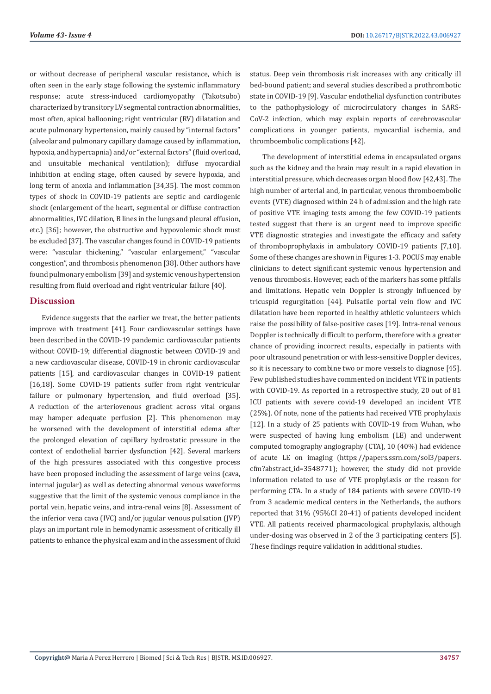or without decrease of peripheral vascular resistance, which is often seen in the early stage following the systemic inflammatory response; acute stress-induced cardiomyopathy (Takotsubo) characterized by transitory LV segmental contraction abnormalities, most often, apical ballooning; right ventricular (RV) dilatation and acute pulmonary hypertension, mainly caused by "internal factors" (alveolar and pulmonary capillary damage caused by inflammation, hypoxia, and hypercapnia) and/or "external factors" (fluid overload, and unsuitable mechanical ventilation); diffuse myocardial inhibition at ending stage, often caused by severe hypoxia, and long term of anoxia and inflammation [34,35]. The most common types of shock in COVID-19 patients are septic and cardiogenic shock (enlargement of the heart, segmental or diffuse contraction abnormalities, IVC dilation, B lines in the lungs and pleural effusion, etc.) [36]; however, the obstructive and hypovolemic shock must be excluded [37]. The vascular changes found in COVID-19 patients were: "vascular thickening," "vascular enlargement," "vascular congestion", and thrombosis phenomenon [38]. Other authors have found pulmonary embolism [39] and systemic venous hypertension resulting from fluid overload and right ventricular failure [40].

# **Discussion**

Evidence suggests that the earlier we treat, the better patients improve with treatment [41]. Four cardiovascular settings have been described in the COVID-19 pandemic: cardiovascular patients without COVID-19; differential diagnostic between COVID-19 and a new cardiovascular disease, COVID-19 in chronic cardiovascular patients [15], and cardiovascular changes in COVID-19 patient [16,18]. Some COVID-19 patients suffer from right ventricular failure or pulmonary hypertension, and fluid overload [35]. A reduction of the arteriovenous gradient across vital organs may hamper adequate perfusion [2]. This phenomenon may be worsened with the development of interstitial edema after the prolonged elevation of capillary hydrostatic pressure in the context of endothelial barrier dysfunction [42]. Several markers of the high pressures associated with this congestive process have been proposed including the assessment of large veins (cava, internal jugular) as well as detecting abnormal venous waveforms suggestive that the limit of the systemic venous compliance in the portal vein, hepatic veins, and intra-renal veins [8]. Assessment of the inferior vena cava (IVC) and/or jugular venous pulsation (JVP) plays an important role in hemodynamic assessment of critically ill patients to enhance the physical exam and in the assessment of fluid

status. Deep vein thrombosis risk increases with any critically ill bed-bound patient; and several studies described a prothrombotic state in COVID-19 [9]. Vascular endothelial dysfunction contributes to the pathophysiology of microcirculatory changes in SARS-CoV-2 infection, which may explain reports of cerebrovascular complications in younger patients, myocardial ischemia, and thromboembolic complications [42].

The development of interstitial edema in encapsulated organs such as the kidney and the brain may result in a rapid elevation in interstitial pressure, which decreases organ blood flow [42,43]. The high number of arterial and, in particular, venous thromboembolic events (VTE) diagnosed within 24 h of admission and the high rate of positive VTE imaging tests among the few COVID-19 patients tested suggest that there is an urgent need to improve specific VTE diagnostic strategies and investigate the efficacy and safety of thromboprophylaxis in ambulatory COVID-19 patients [7,10]. Some of these changes are shown in Figures 1-3. POCUS may enable clinicians to detect significant systemic venous hypertension and venous thrombosis. However, each of the markers has some pitfalls and limitations. Hepatic vein Doppler is strongly influenced by tricuspid regurgitation [44]. Pulsatile portal vein flow and IVC dilatation have been reported in healthy athletic volunteers which raise the possibility of false-positive cases [19]. Intra-renal venous Doppler is technically difficult to perform, therefore with a greater chance of providing incorrect results, especially in patients with poor ultrasound penetration or with less-sensitive Doppler devices, so it is necessary to combine two or more vessels to diagnose [45]. Few published studies have commented on incident VTE in patients with COVID-19. As reported in a retrospective study, 20 out of 81 ICU patients with severe covid-19 developed an incident VTE (25%). Of note, none of the patients had received VTE prophylaxis [12]. In a study of 25 patients with COVID-19 from Wuhan, who were suspected of having lung embolism (LE) and underwent computed tomography angiography (CTA), 10 (40%) had evidence of acute LE on imaging (https://papers.ssrn.com/sol3/papers. cfm?abstract\_id=3548771); however, the study did not provide information related to use of VTE prophylaxis or the reason for performing CTA. In a study of 184 patients with severe COVID-19 from 3 academic medical centers in the Netherlands, the authors reported that 31% (95%CI 20-41) of patients developed incident VTE. All patients received pharmacological prophylaxis, although under-dosing was observed in 2 of the 3 participating centers [5]. These findings require validation in additional studies.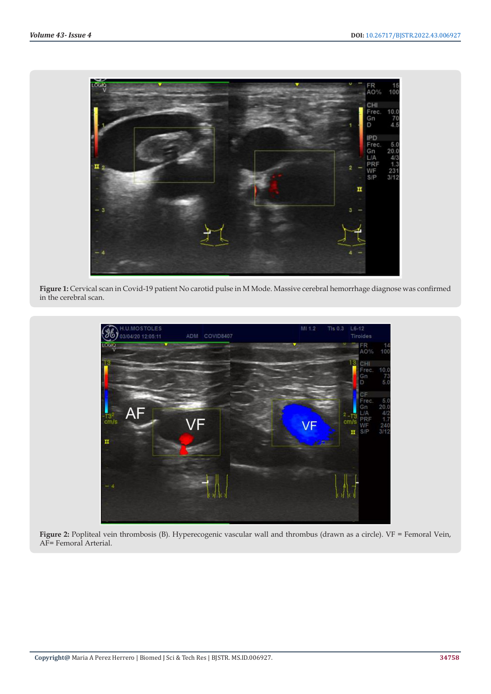

**Figure 1:** Cervical scan in Covid-19 patient No carotid pulse in M Mode. Massive cerebral hemorrhage diagnose was confirmed in the cerebral scan.



**Figure 2:** Popliteal vein thrombosis (B). Hyperecogenic vascular wall and thrombus (drawn as a circle). VF = Femoral Vein, AF= Femoral Arterial.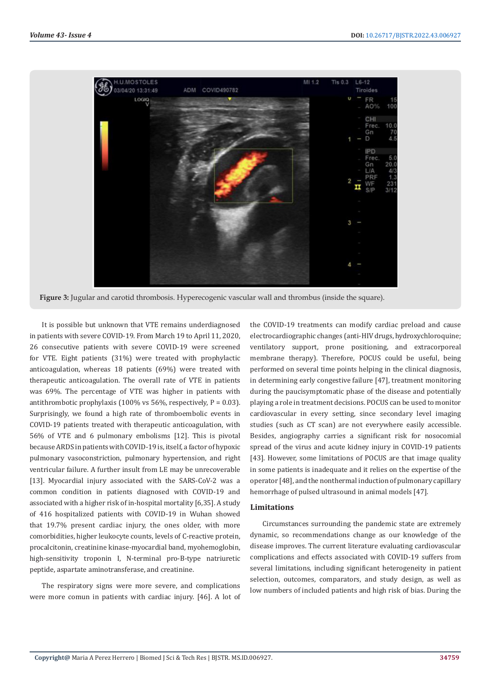

**Figure 3:** Jugular and carotid thrombosis. Hyperecogenic vascular wall and thrombus (inside the square).

It is possible but unknown that VTE remains underdiagnosed in patients with severe COVID-19. From March 19 to April 11, 2020, 26 consecutive patients with severe COVID-19 were screened for VTE. Eight patients (31%) were treated with prophylactic anticoagulation, whereas 18 patients (69%) were treated with therapeutic anticoagulation. The overall rate of VTE in patients was 69%. The percentage of VTE was higher in patients with antithrombotic prophylaxis (100% vs 56%, respectively,  $P = 0.03$ ). Surprisingly, we found a high rate of thromboembolic events in COVID-19 patients treated with therapeutic anticoagulation, with 56% of VTE and 6 pulmonary embolisms [12]. This is pivotal because ARDS in patients with COVID-19 is, itself, a factor of hypoxic pulmonary vasoconstriction, pulmonary hypertension, and right ventricular failure. A further insult from LE may be unrecoverable [13]. Myocardial injury associated with the SARS-CoV-2 was a common condition in patients diagnosed with COVID-19 and associated with a higher risk of in-hospital mortality [6,35]. A study of 416 hospitalized patients with COVID-19 in Wuhan showed that 19.7% present cardiac injury, the ones older, with more comorbidities, higher leukocyte counts, levels of C-reactive protein, procalcitonin, creatinine kinase-myocardial band, myohemoglobin, high-sensitivity troponin I, N-terminal pro-B-type natriuretic peptide, aspartate aminotransferase, and creatinine.

The respiratory signs were more severe, and complications were more comun in patients with cardiac injury. [46]. A lot of the COVID-19 treatments can modify cardiac preload and cause electrocardiographic changes (anti-HIV drugs, hydroxychloroquine; ventilatory support, prone positioning, and extracorporeal membrane therapy). Therefore, POCUS could be useful, being performed on several time points helping in the clinical diagnosis, in determining early congestive failure [47], treatment monitoring during the paucisymptomatic phase of the disease and potentially playing a role in treatment decisions. POCUS can be used to monitor cardiovascular in every setting, since secondary level imaging studies (such as CT scan) are not everywhere easily accessible. Besides, angiography carries a significant risk for nosocomial spread of the virus and acute kidney injury in COVID-19 patients [43]. However, some limitations of POCUS are that image quality in some patients is inadequate and it relies on the expertise of the operator [48], and the nonthermal induction of pulmonary capillary hemorrhage of pulsed ultrasound in animal models [47].

# **Limitations**

Circumstances surrounding the pandemic state are extremely dynamic, so recommendations change as our knowledge of the disease improves. The current literature evaluating cardiovascular complications and effects associated with COVID-19 suffers from several limitations, including significant heterogeneity in patient selection, outcomes, comparators, and study design, as well as low numbers of included patients and high risk of bias. During the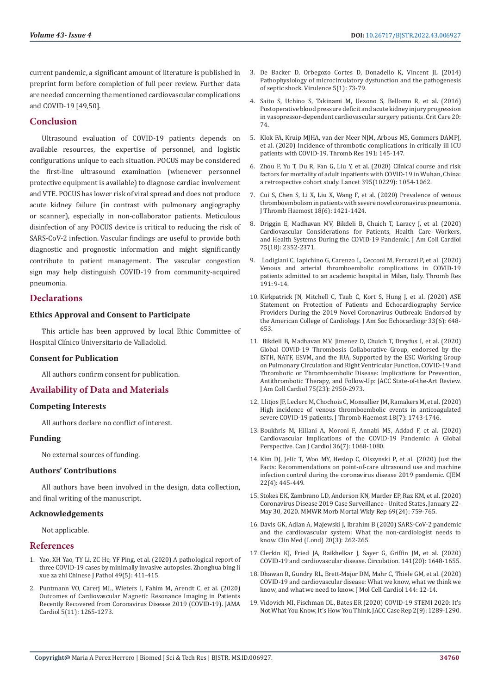current pandemic, a significant amount of literature is published in preprint form before completion of full peer review. Further data are needed concerning the mentioned cardiovascular complications and COVID-19 [49,50].

# **Conclusion**

Ultrasound evaluation of COVID-19 patients depends on available resources, the expertise of personnel, and logistic configurations unique to each situation. POCUS may be considered the first-line ultrasound examination (whenever personnel protective equipment is available) to diagnose cardiac involvement and VTE. POCUS has lower risk of viral spread and does not produce acute kidney failure (in contrast with pulmonary angiography or scanner), especially in non-collaborator patients. Meticulous disinfection of any POCUS device is critical to reducing the risk of SARS-CoV-2 infection. Vascular findings are useful to provide both diagnostic and prognostic information and might significantly contribute to patient management. The vascular congestion sign may help distinguish COVID-19 from community-acquired pneumonia.

# **Declarations**

# **Ethics Approval and Consent to Participate**

This article has been approved by local Ethic Committee of Hospital Clínico Universitario de Valladolid.

#### **Consent for Publication**

All authors confirm consent for publication.

# **Availability of Data and Materials**

#### **Competing Interests**

All authors declare no conflict of interest.

#### **Funding**

No external sources of funding.

#### **Authors' Contributions**

All authors have been involved in the design, data collection, and final writing of the manuscript.

#### **Acknowledgements**

Not applicable.

#### **References**

- 1. [Yao, XH Yao, TY Li, ZC He, YF Ping, et al. \(2020\) A pathological report of](https://pubmed.ncbi.nlm.nih.gov/32172546/)  [three COVID-19 cases by minimally invasive autopsies. Zhonghua bing li](https://pubmed.ncbi.nlm.nih.gov/32172546/)  [xue za zhi Chinese J Pathol 49\(5\): 411-415.](https://pubmed.ncbi.nlm.nih.gov/32172546/)
- 2. [Puntmann VO, Carerj ML, Wieters I, Fahim M, Arendt C, et al. \(2020\)](https://pubmed.ncbi.nlm.nih.gov/32730619/)  [Outcomes of Cardiovascular Magnetic Resonance Imaging in Patients](https://pubmed.ncbi.nlm.nih.gov/32730619/)  [Recently Recovered from Coronavirus Disease 2019 \(COVID-19\). JAMA](https://pubmed.ncbi.nlm.nih.gov/32730619/)  [Cardiol 5\(11\): 1265-1273.](https://pubmed.ncbi.nlm.nih.gov/32730619/)
- 3. [De Backer D, Orbegozo Cortes D, Donadello K, Vincent JL \(2014\)](https://pubmed.ncbi.nlm.nih.gov/24067428/) [Pathophysiology of microcirculatory dysfunction and the pathogenesis](https://pubmed.ncbi.nlm.nih.gov/24067428/) [of septic shock. Virulence 5\(1\): 73-79.](https://pubmed.ncbi.nlm.nih.gov/24067428/)
- 4. [Saito S, Uchino S, Takinami M, Uezono S, Bellomo R, et al. \(2016\)](https://pubmed.ncbi.nlm.nih.gov/27013056/) [Postoperative blood pressure deficit and acute kidney injury progression](https://pubmed.ncbi.nlm.nih.gov/27013056/) [in vasopressor-dependent cardiovascular surgery patients. Crit Care 20:](https://pubmed.ncbi.nlm.nih.gov/27013056/) [74.](https://pubmed.ncbi.nlm.nih.gov/27013056/)
- 5. [Klok FA, Kruip MJHA, van der Meer NJM, Arbous MS, Gommers DAMPJ,](https://pubmed.ncbi.nlm.nih.gov/32291094/) [et al. \(2020\) Incidence of thrombotic complications in critically ill ICU](https://pubmed.ncbi.nlm.nih.gov/32291094/) [patients with COVID-19. Thromb Res 191: 145-147.](https://pubmed.ncbi.nlm.nih.gov/32291094/)
- 6. [Zhou F, Yu T, Du R, Fan G, Liu Y, et al. \(2020\) Clinical course and risk](https://pubmed.ncbi.nlm.nih.gov/32171076/) [factors for mortality of adult inpatients with COVID-19 in Wuhan, China:](https://pubmed.ncbi.nlm.nih.gov/32171076/) [a retrospective cohort study. Lancet 395\(10229\): 1054-1062.](https://pubmed.ncbi.nlm.nih.gov/32171076/)
- 7. [Cui S, Chen S, Li X, Liu X, Wang F, et al. \(2020\) Prevalence of venous](https://pubmed.ncbi.nlm.nih.gov/32271988/) [thromboembolism in patients with severe novel coronavirus pneumonia.](https://pubmed.ncbi.nlm.nih.gov/32271988/) [J Thromb Haemost 18\(6\): 1421-1424.](https://pubmed.ncbi.nlm.nih.gov/32271988/)
- 8. [Driggin E, Madhavan MV, Bikdeli B, Chuich T, Laracy J, et al. \(2020\)](https://pubmed.ncbi.nlm.nih.gov/32201335/) [Cardiovascular Considerations for Patients, Health Care Workers,](https://pubmed.ncbi.nlm.nih.gov/32201335/) [and Health Systems During the COVID-19 Pandemic. J Am Coll Cardiol](https://pubmed.ncbi.nlm.nih.gov/32201335/) [75\(18\): 2352-2371.](https://pubmed.ncbi.nlm.nih.gov/32201335/)
- 9. [Lodigiani C, Iapichino G, Carenzo L, Cecconi M, Ferrazzi P, et al. \(2020\)](https://pubmed.ncbi.nlm.nih.gov/32353746/) [Venous and arterial thromboembolic complications in COVID-19](https://pubmed.ncbi.nlm.nih.gov/32353746/) [patients admitted to an academic hospital in Milan, Italy. Thromb Res](https://pubmed.ncbi.nlm.nih.gov/32353746/) [191: 9-14.](https://pubmed.ncbi.nlm.nih.gov/32353746/)
- 10. [Kirkpatrick JN, Mitchell C, Taub C, Kort S, Hung J, et al. \(2020\) ASE](https://www.ncbi.nlm.nih.gov/pmc/articles/PMC7129086/) [Statement on Protection of Patients and Echocardiography Service](https://www.ncbi.nlm.nih.gov/pmc/articles/PMC7129086/) [Providers During the 2019 Novel Coronavirus Outbreak: Endorsed by](https://www.ncbi.nlm.nih.gov/pmc/articles/PMC7129086/) [the American College of Cardiology. J Am Soc Echocardiogr 33\(6\): 648-](https://www.ncbi.nlm.nih.gov/pmc/articles/PMC7129086/) [653.](https://www.ncbi.nlm.nih.gov/pmc/articles/PMC7129086/)
- 11. [Bikdeli B, Madhavan MV, Jimenez D, Chuich T, Dreyfus I, et al. \(2020\)](https://pubmed.ncbi.nlm.nih.gov/32311448/) [Global COVID-19 Thrombosis Collaborative Group, endorsed by the](https://pubmed.ncbi.nlm.nih.gov/32311448/) [ISTH, NATF, ESVM, and the IUA, Supported by the ESC Working Group](https://pubmed.ncbi.nlm.nih.gov/32311448/) [on Pulmonary Circulation and Right Ventricular Function. COVID-19 and](https://pubmed.ncbi.nlm.nih.gov/32311448/) [Thrombotic or Thromboembolic Disease: Implications for Prevention,](https://pubmed.ncbi.nlm.nih.gov/32311448/) [Antithrombotic Therapy, and Follow-Up: JACC State-of-the-Art Review.](https://pubmed.ncbi.nlm.nih.gov/32311448/) [J Am Coll Cardiol 75\(23\): 2950-2973.](https://pubmed.ncbi.nlm.nih.gov/32311448/)
- 12. [Llitjos JF, Leclerc M, Chochois C, Monsallier JM, Ramakers M, et al. \(2020\)](https://pubmed.ncbi.nlm.nih.gov/32320517/) [High incidence of venous thromboembolic events in anticoagulated](https://pubmed.ncbi.nlm.nih.gov/32320517/) [severe COVID-19 patients. J Thromb Haemost 18\(7\): 1743-1746.](https://pubmed.ncbi.nlm.nih.gov/32320517/)
- 13. [Boukhris M, Hillani A, Moroni F, Annabi MS, Addad F, et al. \(2020\)](https://pubmed.ncbi.nlm.nih.gov/32425328/) [Cardiovascular Implications of the COVID-19 Pandemic: A Global](https://pubmed.ncbi.nlm.nih.gov/32425328/) [Perspective. Can J Cardiol 36\(7\): 1068-1080.](https://pubmed.ncbi.nlm.nih.gov/32425328/)
- 14. [Kim DJ, Jelic T, Woo MY, Heslop C, Olszynski P, et al. \(2020\) Just the](https://pubmed.ncbi.nlm.nih.gov/32268930/) [Facts: Recommendations on point-of-care ultrasound use and machine](https://pubmed.ncbi.nlm.nih.gov/32268930/) infection control during the coronavirus disease 2019 pandemic. CIEM [22\(4\): 445-449.](https://pubmed.ncbi.nlm.nih.gov/32268930/)
- 15. [Stokes EK, Zambrano LD, Anderson KN, Marder EP, Raz KM, et al. \(2020\)](https://pubmed.ncbi.nlm.nih.gov/32555134/) [Coronavirus Disease 2019 Case Surveillance - United States, January 22-](https://pubmed.ncbi.nlm.nih.gov/32555134/) [May 30, 2020. MMWR Morb Mortal Wkly Rep 69\(24\): 759-765.](https://pubmed.ncbi.nlm.nih.gov/32555134/)
- 16. [Davis GK, Adlan A, Majewski J, Ibrahim B \(2020\) SARS-CoV-2 pandemic](https://www.ncbi.nlm.nih.gov/pmc/articles/PMC7354031/) [and the cardiovascular system: What the non-cardiologist needs to](https://www.ncbi.nlm.nih.gov/pmc/articles/PMC7354031/) [know. Clin Med \(Lond\) 20\(3\): 262-265.](https://www.ncbi.nlm.nih.gov/pmc/articles/PMC7354031/)
- 17. [Clerkin KJ, Fried JA, Raikhelkar J, Sayer G, Griffin JM, et al. \(2020\)](https://pubmed.ncbi.nlm.nih.gov/32200663/) [COVID-19 and cardiovascular disease. Circulation. 141\(20\): 1648-1655.](https://pubmed.ncbi.nlm.nih.gov/32200663/)
- 18. [Dhawan R, Gundry RL, Brett-Major DM, Mahr C, Thiele GM, et al. \(2020\)](https://pubmed.ncbi.nlm.nih.gov/32339565/) [COVID-19 and cardiovascular disease: What we know, what we think we](https://pubmed.ncbi.nlm.nih.gov/32339565/) [know, and what we need to know. J Mol Cell Cardiol 144: 12-14.](https://pubmed.ncbi.nlm.nih.gov/32339565/)
- 19. [Vidovich MI, Fischman DL, Bates ER \(2020\) COVID-19 STEMI 2020: It's](https://www.ncbi.nlm.nih.gov/pmc/articles/PMC7183983/) [Not What You Know, It's How You Think. JACC Case Rep 2\(9\): 1289-1290.](https://www.ncbi.nlm.nih.gov/pmc/articles/PMC7183983/)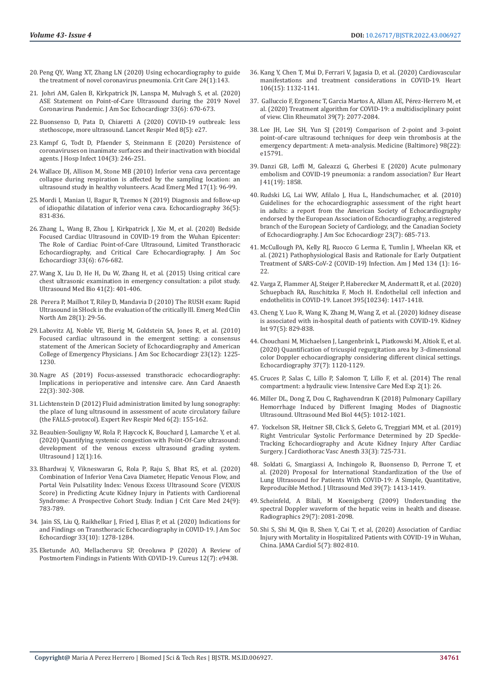- 20. [Peng QY, Wang XT, Zhang LN \(2020\) Using echocardiography to guide](https://pubmed.ncbi.nlm.nih.gov/32276598/)  [the treatment of novel coronavirus pneumonia. Crit Care 24\(1\):143.](https://pubmed.ncbi.nlm.nih.gov/32276598/)
- 21. [Johri AM, Galen B, Kirkpatrick JN, Lanspa M, Mulvagh S, et al. \(2020\)](https://pubmed.ncbi.nlm.nih.gov/32503704/)  [ASE Statement on Point-of-Care Ultrasound during the 2019 Novel](https://pubmed.ncbi.nlm.nih.gov/32503704/)  [Coronavirus Pandemic. J Am Soc Echocardiogr 33\(6\): 670-673.](https://pubmed.ncbi.nlm.nih.gov/32503704/)
- 22. [Buonsenso D, Pata D, Chiaretti A \(2020\) COVID-19 outbreak: less](https://pubmed.ncbi.nlm.nih.gov/32203708/)  [stethoscope, more ultrasound. Lancet Respir Med 8\(5\): e27.](https://pubmed.ncbi.nlm.nih.gov/32203708/)
- 23. [Kampf G, Todt D, Pfaender S, Steinmann E \(2020\) Persistence of](https://pubmed.ncbi.nlm.nih.gov/32035997/)  [coronaviruses on inanimate surfaces and their inactivation with biocidal](https://pubmed.ncbi.nlm.nih.gov/32035997/)  [agents. J Hosp Infect 104\(3\): 246-251.](https://pubmed.ncbi.nlm.nih.gov/32035997/)
- 24. [Wallace DJ, Allison M, Stone MB \(2010\) Inferior vena cava percentage](https://pubmed.ncbi.nlm.nih.gov/20003120/)  [collapse during respiration is affected by the sampling location: an](https://pubmed.ncbi.nlm.nih.gov/20003120/)  [ultrasound study in healthy volunteers. Acad Emerg Med 17\(1\): 96-99.](https://pubmed.ncbi.nlm.nih.gov/20003120/)
- 25. [Mordi I, Manian U, Bagur R, Tzemos N \(2019\) Diagnosis and follow-up](https://pubmed.ncbi.nlm.nih.gov/30937947/)  [of idiopathic dilatation of inferior vena cava. Echocardiography 36\(5\):](https://pubmed.ncbi.nlm.nih.gov/30937947/)  [831-836.](https://pubmed.ncbi.nlm.nih.gov/30937947/)
- 26. [Zhang L, Wang B, Zhou J, Kirkpatrick J, Xie M, et al. \(2020\) Bedside](https://pubmed.ncbi.nlm.nih.gov/32503706/)  [Focused Cardiac Ultrasound in COVID-19 from the Wuhan Epicenter:](https://pubmed.ncbi.nlm.nih.gov/32503706/)  [The Role of Cardiac Point-of-Care Ultrasound, Limited Transthoracic](https://pubmed.ncbi.nlm.nih.gov/32503706/)  [Echocardiography, and Critical Care Echocardiography. J Am Soc](https://pubmed.ncbi.nlm.nih.gov/32503706/)  [Echocardiogr 33\(6\): 676-682.](https://pubmed.ncbi.nlm.nih.gov/32503706/)
- 27. [Wang X, Liu D, He H, Du W, Zhang H, et al. \(2015\) Using critical care](https://pubmed.ncbi.nlm.nih.gov/25592456/)  [chest ultrasonic examination in emergency consultation: a pilot study.](https://pubmed.ncbi.nlm.nih.gov/25592456/)  [Ultrasound Med Bio 41\(2\): 401-406.](https://pubmed.ncbi.nlm.nih.gov/25592456/)
- 28. [Perera P, Mailhot T, Riley D, Mandavia D \(2010\) The RUSH exam: Rapid](https://pubmed.ncbi.nlm.nih.gov/19945597/)  [Ultrasound in SHock in the evaluation of the critically lll. Emerg Med Clin](https://pubmed.ncbi.nlm.nih.gov/19945597/)  [North Am 28\(1\): 29-56.](https://pubmed.ncbi.nlm.nih.gov/19945597/)
- 29. [Labovitz AJ, Noble VE, Bierig M, Goldstein SA, Jones R, et al. \(2010\)](https://pubmed.ncbi.nlm.nih.gov/21111923/)  [Focused cardiac ultrasound in the emergent setting: a consensus](https://pubmed.ncbi.nlm.nih.gov/21111923/)  [statement of the American Society of Echocardiography and American](https://pubmed.ncbi.nlm.nih.gov/21111923/)  [College of Emergency Physicians. J Am Soc Echocardiogr 23\(12\): 1225-](https://pubmed.ncbi.nlm.nih.gov/21111923/) [1230.](https://pubmed.ncbi.nlm.nih.gov/21111923/)
- 30. [Nagre AS \(2019\) Focus-assessed transthoracic echocardiography:](https://pubmed.ncbi.nlm.nih.gov/31274494/)  [Implications in perioperative and intensive care. Ann Card Anaesth](https://pubmed.ncbi.nlm.nih.gov/31274494/)  [22\(3\): 302-308.](https://pubmed.ncbi.nlm.nih.gov/31274494/)
- 31. [Lichtenstein D \(2012\) Fluid administration limited by lung sonography:](https://pubmed.ncbi.nlm.nih.gov/22455488/)  [the place of lung ultrasound in assessment of acute circulatory failure](https://pubmed.ncbi.nlm.nih.gov/22455488/)  [\(the FALLS-protocol\). Expert Rev Respir Med 6\(2\): 155-162.](https://pubmed.ncbi.nlm.nih.gov/22455488/)
- 32. [Beaubien-Souligny W, Rola P, Haycock K, Bouchard J, Lamarche Y, et al.](https://pubmed.ncbi.nlm.nih.gov/32270297/)  [\(2020\) Quantifying systemic congestion with Point-Of-Care ultrasound:](https://pubmed.ncbi.nlm.nih.gov/32270297/)  [development of the venous excess ultrasound grading system.](https://pubmed.ncbi.nlm.nih.gov/32270297/)  Ultrasound I 12(1):16.
- 33. [Bhardwaj V, Vikneswaran G, Rola P, Raju S, Bhat RS, et al. \(2020\)](https://pubmed.ncbi.nlm.nih.gov/33132560/)  [Combination of Inferior Vena Cava Diameter, Hepatic Venous Flow, and](https://pubmed.ncbi.nlm.nih.gov/33132560/)  [Portal Vein Pulsatility Index: Venous Excess Ultrasound Score \(VEXUS](https://pubmed.ncbi.nlm.nih.gov/33132560/)  [Score\) in Predicting Acute Kidney Injury in Patients with Cardiorenal](https://pubmed.ncbi.nlm.nih.gov/33132560/)  [Syndrome: A Prospective Cohort Study. Indian J Crit Care Med 24\(9\):](https://pubmed.ncbi.nlm.nih.gov/33132560/)  [783-789.](https://pubmed.ncbi.nlm.nih.gov/33132560/)
- 34. [Jain SS, Liu Q, Raikhelkar J, Fried J, Elias P, et al. \(2020\) Indications for](https://pubmed.ncbi.nlm.nih.gov/32782131/)  [and Findings on Transthoracic Echocardiography in COVID-19. J Am Soc](https://pubmed.ncbi.nlm.nih.gov/32782131/)  [Echocardiogr 33\(10\): 1278-1284.](https://pubmed.ncbi.nlm.nih.gov/32782131/)
- 35. [Eketunde AO, Mellacheruvu SP, Oreoluwa P \(2020\) A Review of](https://pubmed.ncbi.nlm.nih.gov/32864262/)  [Postmortem Findings in Patients With COVID-19. Cureus 12\(7\): e9438.](https://pubmed.ncbi.nlm.nih.gov/32864262/)
- 36. [Kang Y, Chen T, Mui D, Ferrari V, Jagasia D, et al. \(2020\) Cardiovascular](https://pubmed.ncbi.nlm.nih.gov/32354800/) [manifestations and treatment considerations in COVID-19. Heart](https://pubmed.ncbi.nlm.nih.gov/32354800/) [106\(15\): 1132-1141.](https://pubmed.ncbi.nlm.nih.gov/32354800/)
- 37. [Galluccio F, Ergonenc T, Garcia Martos A, Allam AE, P](https://pubmed.ncbi.nlm.nih.gov/32472459/)érez-Herrero M, et [al. \(2020\) Treatment algorithm for COVID-19: a multidisciplinary point](https://pubmed.ncbi.nlm.nih.gov/32472459/) [of view. Clin Rheumatol 39\(7\): 2077-2084.](https://pubmed.ncbi.nlm.nih.gov/32472459/)
- 38. [Lee JH, Lee SH, Yun SJ \(2019\) Comparison of 2-point and 3-point](https://pubmed.ncbi.nlm.nih.gov/31145304/) [point-of-care ultrasound techniques for deep vein thrombosis at the](https://pubmed.ncbi.nlm.nih.gov/31145304/) [emergency department: A meta-analysis. Medicine \(Baltimore\) 98\(22\):](https://pubmed.ncbi.nlm.nih.gov/31145304/) [e15791.](https://pubmed.ncbi.nlm.nih.gov/31145304/)
- 39. [Danzi GB, Loffi M, Galeazzi G, Gherbesi E \(2020\) Acute pulmonary](https://pubmed.ncbi.nlm.nih.gov/32227120/) [embolism and COVID-19 pneumonia: a random association? Eur Heart](https://pubmed.ncbi.nlm.nih.gov/32227120/) [J 41\(19\): 1858.](https://pubmed.ncbi.nlm.nih.gov/32227120/)
- 40. [Rudski LG, Lai WW, Afilalo J, Hua L, Handschumacher, et al. \(2010\)](https://pubmed.ncbi.nlm.nih.gov/20620859/) [Guidelines for the echocardiographic assessment of the right heart](https://pubmed.ncbi.nlm.nih.gov/20620859/) [in adults: a report from the American Society of Echocardiography](https://pubmed.ncbi.nlm.nih.gov/20620859/) [endorsed by the European Association of Echocardiography, a registered](https://pubmed.ncbi.nlm.nih.gov/20620859/) [branch of the European Society of Cardiology, and the Canadian Society](https://pubmed.ncbi.nlm.nih.gov/20620859/) [of Echocardiography. J Am Soc Echocardiogr 23\(7\): 685-713.](https://pubmed.ncbi.nlm.nih.gov/20620859/)
- 41. [McCullough PA, Kelly RJ, Ruocco G Lerma E, Tumlin J, Wheelan KR, et](https://pubmed.ncbi.nlm.nih.gov/32771461/) [al. \(2021\) Pathophysiological Basis and Rationale for Early Outpatient](https://pubmed.ncbi.nlm.nih.gov/32771461/) [Treatment of SARS-CoV-2 \(COVID-19\) Infection. Am J Med 134 \(1\): 16-](https://pubmed.ncbi.nlm.nih.gov/32771461/) [22.](https://pubmed.ncbi.nlm.nih.gov/32771461/)
- 42. [Varga Z, Flammer AJ, Steiger P, Haberecker M, Andermatt R, et al. \(2020\)](https://pubmed.ncbi.nlm.nih.gov/32325026/) [Schuepbach RA, Ruschitzka F, Moch H. Endothelial cell infection and](https://pubmed.ncbi.nlm.nih.gov/32325026/) [endothelitis in COVID-19. Lancet 395\(10234\): 1417-1418.](https://pubmed.ncbi.nlm.nih.gov/32325026/)
- 43. [Cheng Y, Luo R, Wang K, Zhang M, Wang Z, et al. \(2020\) kidney disease](https://pubmed.ncbi.nlm.nih.gov/32247631/) [is associated with in-hospital death of patients with COVID-19. Kidney](https://pubmed.ncbi.nlm.nih.gov/32247631/) [Int 97\(5\): 829-838.](https://pubmed.ncbi.nlm.nih.gov/32247631/)
- 44. [Chouchani M, Michaelsen J, Langenbrink L, Piatkowski M, Altiok E, et al.](https://pubmed.ncbi.nlm.nih.gov/32562588/) [\(2020\) Quantification of tricuspid regurgitation area by 3-dimensional](https://pubmed.ncbi.nlm.nih.gov/32562588/) [color Doppler echocardiography considering different clinical settings.](https://pubmed.ncbi.nlm.nih.gov/32562588/) [Echocardiography 37\(7\): 1120-1129.](https://pubmed.ncbi.nlm.nih.gov/32562588/)
- 45. [Cruces P, Salas C, Lillo P, Salomon T, Lillo F, et al. \(2014\) The renal](https://pubmed.ncbi.nlm.nih.gov/26266923/) [compartment: a hydraulic view. Intensive Care Med Exp 2\(1\): 26.](https://pubmed.ncbi.nlm.nih.gov/26266923/)
- 46. [Miller DL, Dong Z, Dou C, Raghavendran K \(2018\) Pulmonary Capillary](https://pubmed.ncbi.nlm.nih.gov/29428168/) [Hemorrhage Induced by Different Imaging Modes of Diagnostic](https://pubmed.ncbi.nlm.nih.gov/29428168/) [Ultrasound. Ultrasound Med Biol 44\(5\): 1012-1021.](https://pubmed.ncbi.nlm.nih.gov/29428168/)
- 47. [Yockelson SR, Heitner SB, Click S, Geleto G, Treggiari MM, et al. \(2019\)](https://pubmed.ncbi.nlm.nih.gov/30316640/) [Right Ventricular Systolic Performance Determined by 2D Speckle-](https://pubmed.ncbi.nlm.nih.gov/30316640/)[Tracking Echocardiography and Acute Kidney Injury After Cardiac](https://pubmed.ncbi.nlm.nih.gov/30316640/) [Surgery. J Cardiothorac Vasc Anesth 33\(3\): 725-731.](https://pubmed.ncbi.nlm.nih.gov/30316640/)
- 48. [Soldati G, Smargiassi A, Inchingolo R, Buonsenso D, Perrone T, et](https://pubmed.ncbi.nlm.nih.gov/32227492/) [al. \(2020\) Proposal for International Standardization of the Use of](https://pubmed.ncbi.nlm.nih.gov/32227492/) [Lung Ultrasound for Patients With COVID-19: A Simple, Quantitative,](https://pubmed.ncbi.nlm.nih.gov/32227492/) [Reproducible Method. J Ultrasound Med 39\(7\): 1413-1419.](https://pubmed.ncbi.nlm.nih.gov/32227492/)
- 49. [Scheinfeld, A Bilali, M Koenigsberg \(2009\) Understanding the](https://pubmed.ncbi.nlm.nih.gov/19926763/) [spectral Doppler waveform of the hepatic veins in health and disease.](https://pubmed.ncbi.nlm.nih.gov/19926763/) [Radiographics 29\(7\): 2081-2098.](https://pubmed.ncbi.nlm.nih.gov/19926763/)
- 50. [Shi S, Shi M, Qin B, Shen Y, Cai T, et al, \(2020\) Association of Cardiac](https://jamanetwork.com/journals/jamacardiology/fullarticle/2763524) [Injury with Mortality in Hospitalized Patients with COVID-19 in Wuhan,](https://jamanetwork.com/journals/jamacardiology/fullarticle/2763524) [China. JAMA Cardiol 5\(7\): 802-810.](https://jamanetwork.com/journals/jamacardiology/fullarticle/2763524)